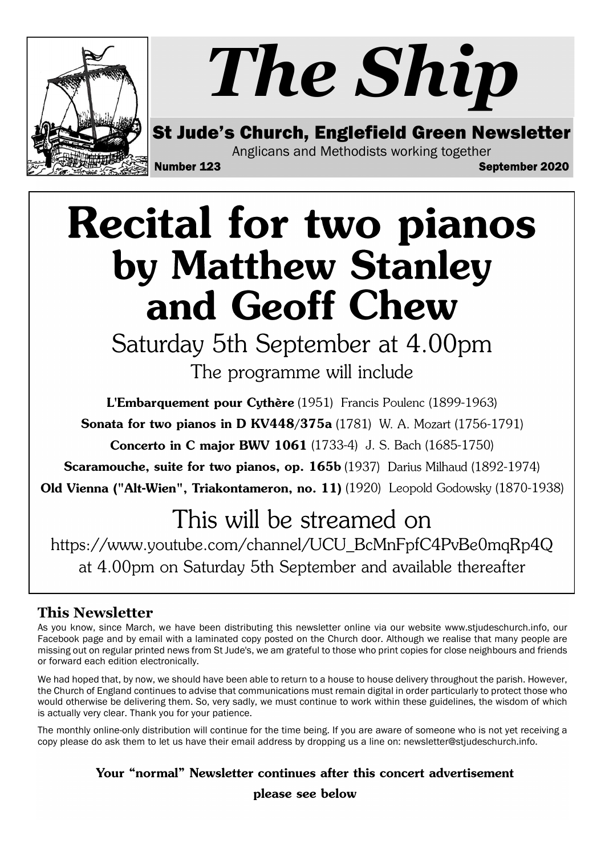

## **Recital for two pianos** by Matthew Stanley and Geoff Chew

Saturday 5th September at 4.00pm The programme will include

L'Embarquement pour Cythère (1951) Francis Poulenc (1899-1963) **Sonata for two pianos in D KV448/375a** (1781) W. A. Mozart (1756-1791) **Concerto in C major BWV 1061** (1733-4) J. S. Bach (1685-1750)

**Scaramouche, suite for two pianos, op. 165b** (1937) Darius Milhaud (1892-1974)

Old Vienna ("Alt-Wien", Triakontameron, no. 11) (1920) Leopold Godowsky (1870-1938)

### This will be streamed on

https://www.youtube.com/channel/UCU\_BcMnFpfC4PvBe0mqRp4Q at 4.00pm on Saturday 5th September and available thereafter

#### This Newsletter

As you know, since March, we have been distributing this newsletter online via our website www.stjudeschurch.info, our Facebook page and by email with a laminated copy posted on the Church door. Although we realise that many people are missing out on regular printed news from St Jude's, we am grateful to those who print copies for close neighbours and friends or forward each edition electronically.

We had hoped that, by now, we should have been able to return to a house to house delivery throughout the parish. However, the Church of England continues to advise that communications must remain digital in order particularly to protect those who would otherwise be delivering them. So, very sadly, we must continue to work within these guidelines, the wisdom of which is actually very clear. Thank you for your patience.

The monthly online-only distribution will continue for the time being. If you are aware of someone who is not yet receiving a copy please do ask them to let us have their email address by dropping us a line on: newsletter@stjudeschurch.info.

> Your "normal" Newsletter continues after this concert advertisement please see below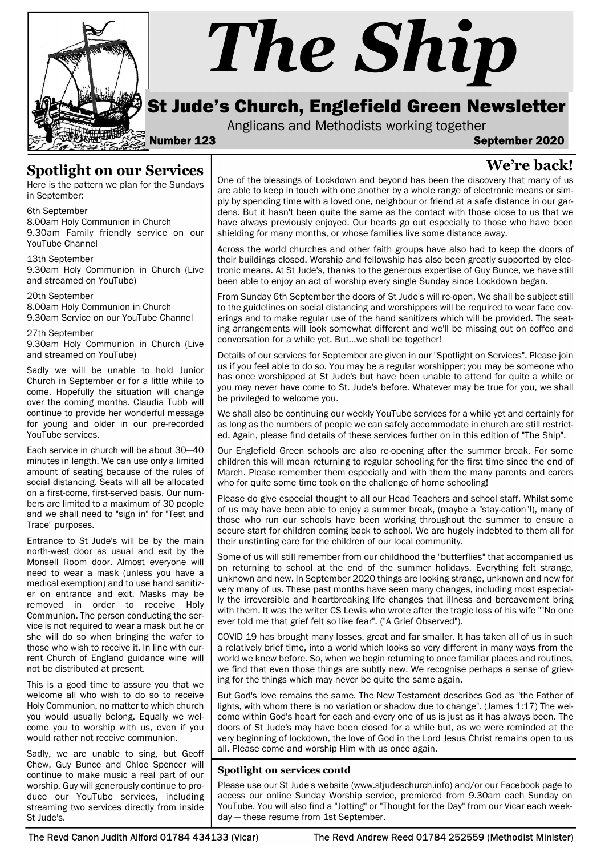

# The Ship

#### St Jude's Church, Englefield Green Newsletter

Anglicans and Methodists working together

Number 123 September 2020

We're back!

#### Spotlight on our Services

Here is the pattern we plan for the Sundays in September:

6th September 8.00am Holy Communion in Church

9.30am Family friendly service on our YouTube Channel

13th September

9.30am Holy Communion in Church (Live and streamed on YouTube)

20th September

8.00am Holy Communion in Church 9.30am Service on our YouTube Channel

27th September

9.30am Holy Communion in Church (Live and streamed on YouTube)

Sadly we will be unable to hold Junior Church in September or for a little while to come. Hopefully the situation will change over the coming months. Claudia Tubb will continue to provide her wonderful message for young and older in our pre-recorded YouTube services.

Each service in church will be about 30—40 minutes in length. We can use only a limited amount of seating because of the rules of social distancing. Seats will all be allocated on a first-come, first-served basis. Our numbers are limited to a maximum of 30 people and we shall need to "sign in" for "Test and Trace" purposes.

Entrance to St Jude's will be by the main north-west door as usual and exit by the Monsell Room door. Almost everyone will need to wear a mask (unless you have a medical exemption) and to use hand sanitizer on entrance and exit. Masks may be removed in order to receive Holy Communion. The person conducting the service is not required to wear a mask but he or she will do so when bringing the wafer to those who wish to receive it. In line with current Church of England guidance wine will not be distributed at present.

This is a good time to assure you that we welcome all who wish to do so to receive Holy Communion, no matter to which church you would usually belong. Equally we welcome you to worship with us, even if you would rather not receive communion.

Sadly, we are unable to sing, but Geoff Chew, Guy Bunce and Chloe Spencer will continue to make music a real part of our worship. Guy will generously continue to produce our YouTube services, including streaming two services directly from inside St Jude's.

One of the blessings of Lockdown and beyond has been the discovery that many of us are able to keep in touch with one another by a whole range of electronic means or simply by spending time with a loved one, neighbour or friend at a safe distance in our gardens. But it hasn't been quite the same as the contact with those close to us that we have always previously enjoyed. Our hearts go out especially to those who have been shielding for many months, or whose families live some distance away.

Across the world churches and other faith groups have also had to keep the doors of their buildings closed. Worship and fellowship has also been greatly supported by electronic means. At St Jude's, thanks to the generous expertise of Guy Bunce, we have still been able to enjoy an act of worship every single Sunday since Lockdown began.

From Sunday 6th September the doors of St Jude's will re-open. We shall be subject still to the guidelines on social distancing and worshippers will be required to wear face coverings and to make regular use of the hand sanitizers which will be provided. The seating arrangements will look somewhat different and we'll be missing out on coffee and conversation for a while yet. But...we shall be together!

Details of our services for September are given in our "Spotlight on Services". Please join us if you feel able to do so. You may be a regular worshipper; you may be someone who has once worshipped at St Jude's but have been unable to attend for quite a while or you may never have come to St. Jude's before. Whatever may be true for you, we shall be privileged to welcome you.

We shall also be continuing our weekly YouTube services for a while yet and certainly for as long as the numbers of people we can safely accommodate in church are still restricted. Again, please find details of these services further on in this edition of "The Ship".

Our Englefield Green schools are also re-opening after the summer break. For some children this will mean returning to regular schooling for the first time since the end of March. Please remember them especially and with them the many parents and carers who for quite some time took on the challenge of home schooling!

Please do give especial thought to all our Head Teachers and school staff. Whilst some of us may have been able to enjoy a summer break, (maybe a "stay-cation"!), many of those who run our schools have been working throughout the summer to ensure a secure start for children coming back to school. We are hugely indebted to them all for their unstinting care for the children of our local community.

Some of us will still remember from our childhood the "butterflies" that accompanied us on returning to school at the end of the summer holidays. Everything felt strange, unknown and new. In September 2020 things are looking strange, unknown and new for very many of us. These past months have seen many changes, including most especially the irreversible and heartbreaking life changes that illness and bereavement bring with them. It was the writer CS Lewis who wrote after the tragic loss of his wife ""No one ever told me that grief felt so like fear". ("A Grief Observed").

COVID 19 has brought many losses, great and far smaller. It has taken all of us in such a relatively brief time, into a world which looks so very different in many ways from the world we knew before. So, when we begin returning to once familiar places and routines, we find that even those things are subtly new. We recognise perhaps a sense of grieving for the things which may never be quite the same again.

But God's love remains the same. The New Testament describes God as "the Father of lights, with whom there is no variation or shadow due to change". (James 1:17) The welcome within God's heart for each and every one of us is just as it has always been. The doors of St Jude's may have been closed for a while but, as we were reminded at the very beginning of lockdown, the love of God in the Lord Jesus Christ remains open to us all. Please come and worship Him with us once again.

#### Spotlight on services contd

Please use our St Jude's website (www.stjudeschurch.info) and/or our Facebook page to access our online Sunday Worship service, premiered from 9.30am each Sunday on YouTube. You will also find a "Jotting" or "Thought for the Day" from our Vicar each weekday — these resume from 1st September.